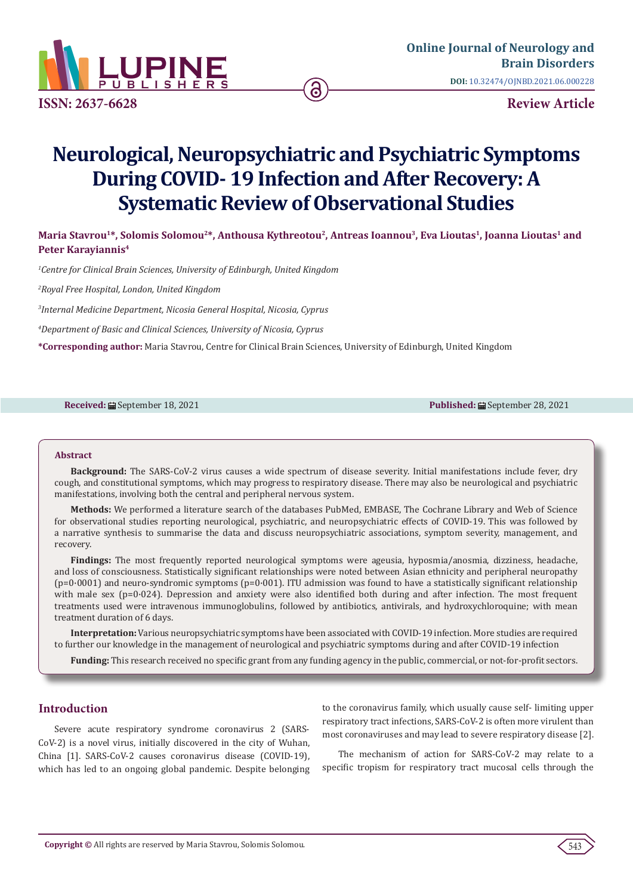

# **Neurological, Neuropsychiatric and Psychiatric Symptoms During COVID- 19 Infection and After Recovery: A Systematic Review of Observational Studies**

**Maria Stavrou1\*, Solomis Solomou2\*, Anthousa Kythreotou2, Antreas Ioannou3, Eva Lioutas1, Joanna Lioutas1 and Peter Karayiannis4**

*1 Centre for Clinical Brain Sciences, University of Edinburgh, United Kingdom*

*2 Royal Free Hospital, London, United Kingdom*

*3 Internal Medicine Department, Nicosia General Hospital, Nicosia, Cyprus*

*4 Department of Basic and Clinical Sciences, University of Nicosia, Cyprus*

**\*Corresponding author:** Maria Stavrou, Centre for Clinical Brain Sciences, University of Edinburgh, United Kingdom

**Received:** September 18, 2021 **Published:** September 28, 2021

#### **Abstract**

**Background:** The SARS-CoV-2 virus causes a wide spectrum of disease severity. Initial manifestations include fever, dry cough, and constitutional symptoms, which may progress to respiratory disease. There may also be neurological and psychiatric manifestations, involving both the central and peripheral nervous system.

**Methods:** We performed a literature search of the databases PubMed, EMBASE, The Cochrane Library and Web of Science for observational studies reporting neurological, psychiatric, and neuropsychiatric effects of COVID-19. This was followed by a narrative synthesis to summarise the data and discuss neuropsychiatric associations, symptom severity, management, and recovery.

**Findings:** The most frequently reported neurological symptoms were ageusia, hyposmia/anosmia, dizziness, headache, and loss of consciousness. Statistically significant relationships were noted between Asian ethnicity and peripheral neuropathy (p=0·0001) and neuro-syndromic symptoms (p=0·001). ITU admission was found to have a statistically significant relationship with male sex ( $p=0.024$ ). Depression and anxiety were also identified both during and after infection. The most frequent treatments used were intravenous immunoglobulins, followed by antibiotics, antivirals, and hydroxychloroquine; with mean treatment duration of 6 days.

**Interpretation:** Various neuropsychiatric symptoms have been associated with COVID-19 infection. More studies are required to further our knowledge in the management of neurological and psychiatric symptoms during and after COVID-19 infection

**Funding:** This research received no specific grant from any funding agency in the public, commercial, or not-for-profit sectors.

#### **Introduction**

Severe acute respiratory syndrome coronavirus 2 (SARS-CoV-2) is a novel virus, initially discovered in the city of Wuhan, China [1]. SARS-CoV-2 causes coronavirus disease (COVID-19), which has led to an ongoing global pandemic. Despite belonging to the coronavirus family, which usually cause self- limiting upper respiratory tract infections, SARS-CoV-2 is often more virulent than most coronaviruses and may lead to severe respiratory disease [2].

The mechanism of action for SARS-CoV-2 may relate to a specific tropism for respiratory tract mucosal cells through the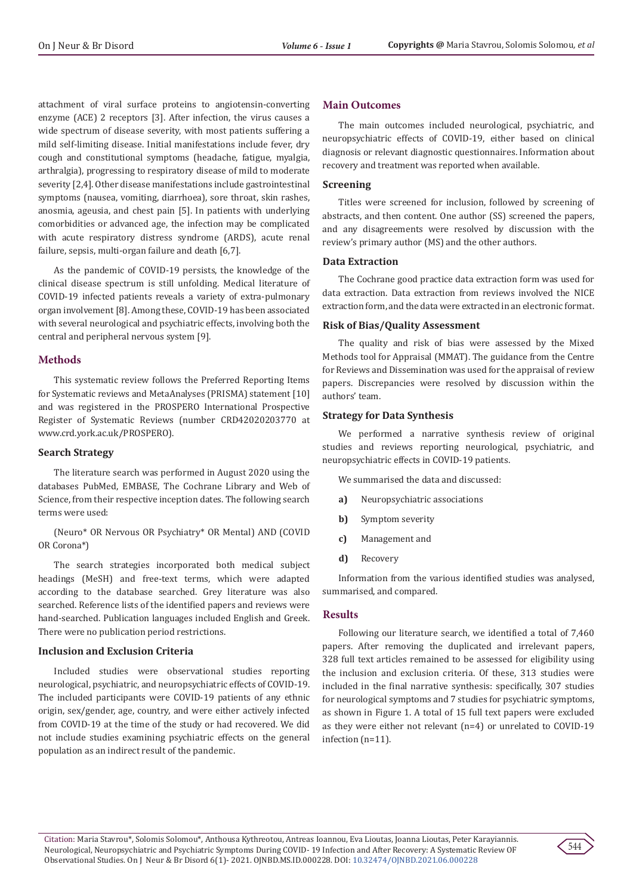attachment of viral surface proteins to angiotensin-converting enzyme (ACE) 2 receptors [3]. After infection, the virus causes a wide spectrum of disease severity, with most patients suffering a mild self-limiting disease. Initial manifestations include fever, dry cough and constitutional symptoms (headache, fatigue, myalgia, arthralgia), progressing to respiratory disease of mild to moderate severity [2,4]. Other disease manifestations include gastrointestinal symptoms (nausea, vomiting, diarrhoea), sore throat, skin rashes, anosmia, ageusia, and chest pain [5]. In patients with underlying comorbidities or advanced age, the infection may be complicated with acute respiratory distress syndrome (ARDS), acute renal failure, sepsis, multi-organ failure and death [6,7].

As the pandemic of COVID-19 persists, the knowledge of the clinical disease spectrum is still unfolding. Medical literature of COVID-19 infected patients reveals a variety of extra-pulmonary organ involvement [8]. Among these, COVID-19 has been associated with several neurological and psychiatric effects, involving both the central and peripheral nervous system [9].

# **Methods**

This systematic review follows the Preferred Reporting Items for Systematic reviews and MetaAnalyses (PRISMA) statement [10] and was registered in the PROSPERO International Prospective Register of Systematic Reviews (number CRD42020203770 at www.crd.york.ac.uk/PROSPERO).

#### **Search Strategy**

The literature search was performed in August 2020 using the databases PubMed, EMBASE, The Cochrane Library and Web of Science, from their respective inception dates. The following search terms were used:

(Neuro\* OR Nervous OR Psychiatry\* OR Mental) AND (COVID OR Corona\*)

The search strategies incorporated both medical subject headings (MeSH) and free-text terms, which were adapted according to the database searched. Grey literature was also searched. Reference lists of the identified papers and reviews were hand-searched. Publication languages included English and Greek. There were no publication period restrictions.

#### **Inclusion and Exclusion Criteria**

Included studies were observational studies reporting neurological, psychiatric, and neuropsychiatric effects of COVID-19. The included participants were COVID-19 patients of any ethnic origin, sex/gender, age, country, and were either actively infected from COVID-19 at the time of the study or had recovered. We did not include studies examining psychiatric effects on the general population as an indirect result of the pandemic.

# **Main Outcomes**

The main outcomes included neurological, psychiatric, and neuropsychiatric effects of COVID-19, either based on clinical diagnosis or relevant diagnostic questionnaires. Information about recovery and treatment was reported when available.

# **Screening**

Titles were screened for inclusion, followed by screening of abstracts, and then content. One author (SS) screened the papers, and any disagreements were resolved by discussion with the review's primary author (MS) and the other authors.

#### **Data Extraction**

The Cochrane good practice data extraction form was used for data extraction. Data extraction from reviews involved the NICE extraction form, and the data were extracted in an electronic format.

# **Risk of Bias/Quality Assessment**

The quality and risk of bias were assessed by the Mixed Methods tool for Appraisal (MMAT). The guidance from the Centre for Reviews and Dissemination was used for the appraisal of review papers. Discrepancies were resolved by discussion within the authors' team.

# **Strategy for Data Synthesis**

We performed a narrative synthesis review of original studies and reviews reporting neurological, psychiatric, and neuropsychiatric effects in COVID-19 patients.

We summarised the data and discussed:

- **a)** Neuropsychiatric associations
- **b)** Symptom severity
- **c)** Management and
- **d)** Recovery

Information from the various identified studies was analysed, summarised, and compared.

# **Results**

Following our literature search, we identified a total of 7,460 papers. After removing the duplicated and irrelevant papers, 328 full text articles remained to be assessed for eligibility using the inclusion and exclusion criteria. Of these, 313 studies were included in the final narrative synthesis: specifically, 307 studies for neurological symptoms and 7 studies for psychiatric symptoms, as shown in Figure 1. A total of 15 full text papers were excluded as they were either not relevant (n=4) or unrelated to COVID-19 infection (n=11).

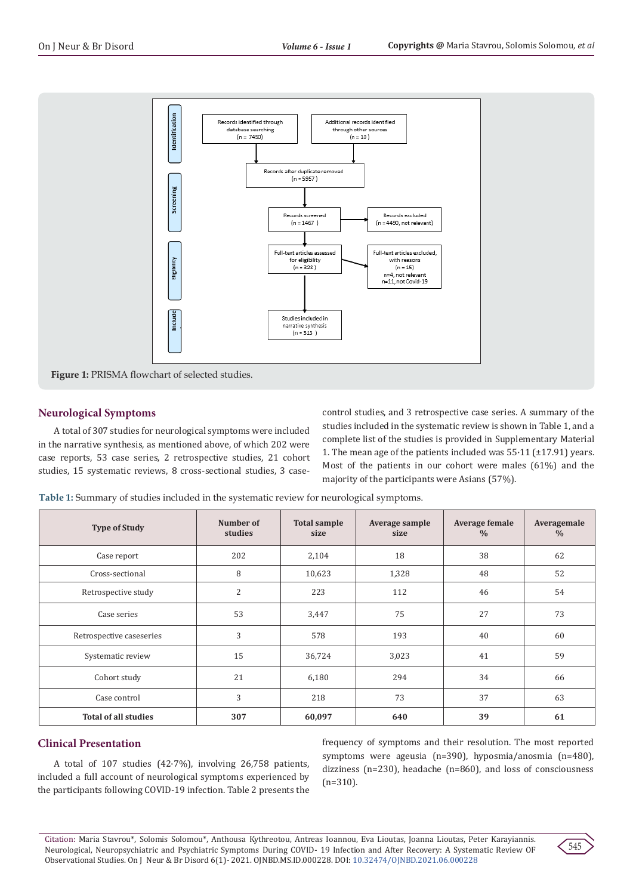

# **Neurological Symptoms**

A total of 307 studies for neurological symptoms were included in the narrative synthesis, as mentioned above, of which 202 were case reports, 53 case series, 2 retrospective studies, 21 cohort studies, 15 systematic reviews, 8 cross-sectional studies, 3 casecontrol studies, and 3 retrospective case series. A summary of the studies included in the systematic review is shown in Table 1, and a complete list of the studies is provided in Supplementary Material 1. The mean age of the patients included was 55·11 (±17.91) years. Most of the patients in our cohort were males (61%) and the majority of the participants were Asians (57%).

**Table 1:** Summary of studies included in the systematic review for neurological symptoms.

| <b>Type of Study</b>        | Number of<br>studies | <b>Total sample</b><br>size | Average sample<br>size | <b>Average female</b><br>$\frac{0}{0}$ | Averagemale<br>$\%$ |
|-----------------------------|----------------------|-----------------------------|------------------------|----------------------------------------|---------------------|
| Case report                 | 202                  | 2,104                       | 18                     | 38                                     | 62                  |
| Cross-sectional             | 8                    | 10,623                      | 1,328                  | 48                                     | 52                  |
| Retrospective study         | 2                    | 223                         | 112                    | 46                                     | 54                  |
| Case series                 | 53                   | 3,447                       | 75                     | 27                                     | 73                  |
| Retrospective caseseries    | 3                    | 578                         | 193                    | 40                                     | 60                  |
| Systematic review           | 15                   | 36,724                      | 3,023                  | 41                                     | 59                  |
| Cohort study                | 21                   | 6,180                       | 294                    | 34                                     | 66                  |
| Case control                | 3                    | 218                         | 73                     | 37                                     | 63                  |
| <b>Total of all studies</b> | 307                  | 60,097                      | 640                    | 39                                     | 61                  |

# **Clinical Presentation**

A total of 107 studies (42·7%), involving 26,758 patients, included a full account of neurological symptoms experienced by the participants following COVID-19 infection. Table 2 presents the

frequency of symptoms and their resolution. The most reported symptoms were ageusia (n=390), hyposmia/anosmia (n=480), dizziness (n=230), headache (n=860), and loss of consciousness (n=310).

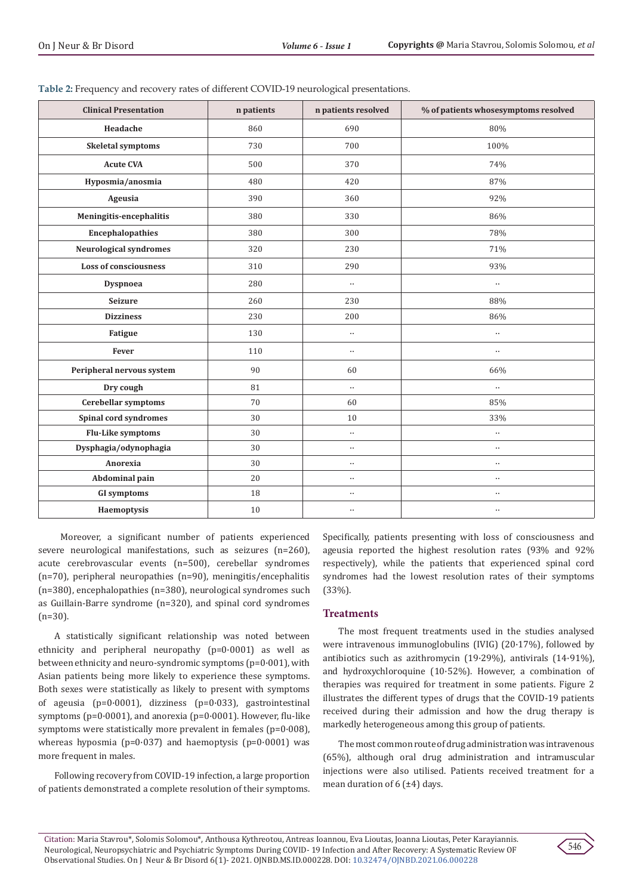| <b>Clinical Presentation</b>  | n patients | n patients resolved | % of patients whosesymptoms resolved |
|-------------------------------|------------|---------------------|--------------------------------------|
| Headache                      | 860        | 690                 | 80%                                  |
| Skeletal symptoms             | 730        | 700                 | 100%                                 |
| <b>Acute CVA</b>              | 500        | 370                 | 74%                                  |
| Hyposmia/anosmia              | 480        | 420                 | 87%                                  |
| Ageusia                       | 390        | 360                 | 92%                                  |
| Meningitis-encephalitis       | 380        | 330                 | 86%                                  |
| <b>Encephalopathies</b>       | 380        | 300                 | 78%                                  |
| <b>Neurological syndromes</b> | 320        | 230                 | 71%                                  |
| <b>Loss of consciousness</b>  | 310        | 290                 | 93%                                  |
| Dyspnoea                      | 280        | $\ddotsc$           | $\ddotsc$                            |
| <b>Seizure</b>                | 260        | 230                 | 88%                                  |
| <b>Dizziness</b>              | 230        | 200                 | 86%                                  |
| Fatigue                       | 130        | $\ddotsc$           | $\ddotsc$                            |
| Fever                         | 110        | $\ldots$            | $\cdot$ .                            |
| Peripheral nervous system     | 90         | 60                  | 66%                                  |
| Dry cough                     | 81         | $\ldots$            | $\ddot{\phantom{a}}$                 |
| Cerebellar symptoms           | 70         | 60                  | 85%                                  |
| Spinal cord syndromes         | 30         | $10\,$              | 33%                                  |
| Flu-Like symptoms             | 30         | $\ldots$            | $\ddotsc$                            |
| Dysphagia/odynophagia         | 30         | $\ddotsc$           | $\ddotsc$                            |
| Anorexia                      | 30         | $\ddotsc$           | $\ddotsc$                            |
| Abdominal pain                | 20         | $\ddotsc$           | $\ddotsc$                            |
| <b>GI</b> symptoms            | 18         | $\ldots$            | $\ddotsc$                            |
| Haemoptysis                   | 10         | $\ldots$            | $\ddotsc$                            |

|  | Table 2: Frequency and recovery rates of different COVID-19 neurological presentations. |
|--|-----------------------------------------------------------------------------------------|
|  |                                                                                         |

 Moreover, a significant number of patients experienced severe neurological manifestations, such as seizures (n=260), acute cerebrovascular events (n=500), cerebellar syndromes (n=70), peripheral neuropathies (n=90), meningitis/encephalitis (n=380), encephalopathies (n=380), neurological syndromes such as Guillain-Barre syndrome (n=320), and spinal cord syndromes (n=30).

A statistically significant relationship was noted between ethnicity and peripheral neuropathy (p=0·0001) as well as between ethnicity and neuro-syndromic symptoms (p=0·001), with Asian patients being more likely to experience these symptoms. Both sexes were statistically as likely to present with symptoms of ageusia (p=0·0001), dizziness (p=0·033), gastrointestinal symptoms ( $p=0.0001$ ), and anorexia ( $p=0.0001$ ). However, flu-like symptoms were statistically more prevalent in females (p=0·008), whereas hyposmia ( $p=0.037$ ) and haemoptysis ( $p=0.0001$ ) was more frequent in males.

Following recovery from COVID-19 infection, a large proportion of patients demonstrated a complete resolution of their symptoms. Specifically, patients presenting with loss of consciousness and ageusia reported the highest resolution rates (93% and 92% respectively), while the patients that experienced spinal cord syndromes had the lowest resolution rates of their symptoms (33%).

# **Treatments**

The most frequent treatments used in the studies analysed were intravenous immunoglobulins (IVIG) (20·17%), followed by antibiotics such as azithromycin (19·29%), antivirals (14·91%), and hydroxychloroquine (10·52%). However, a combination of therapies was required for treatment in some patients. Figure 2 illustrates the different types of drugs that the COVID-19 patients received during their admission and how the drug therapy is markedly heterogeneous among this group of patients.

The most common route of drug administration was intravenous (65%), although oral drug administration and intramuscular injections were also utilised. Patients received treatment for a mean duration of  $6$  ( $\pm 4$ ) days.

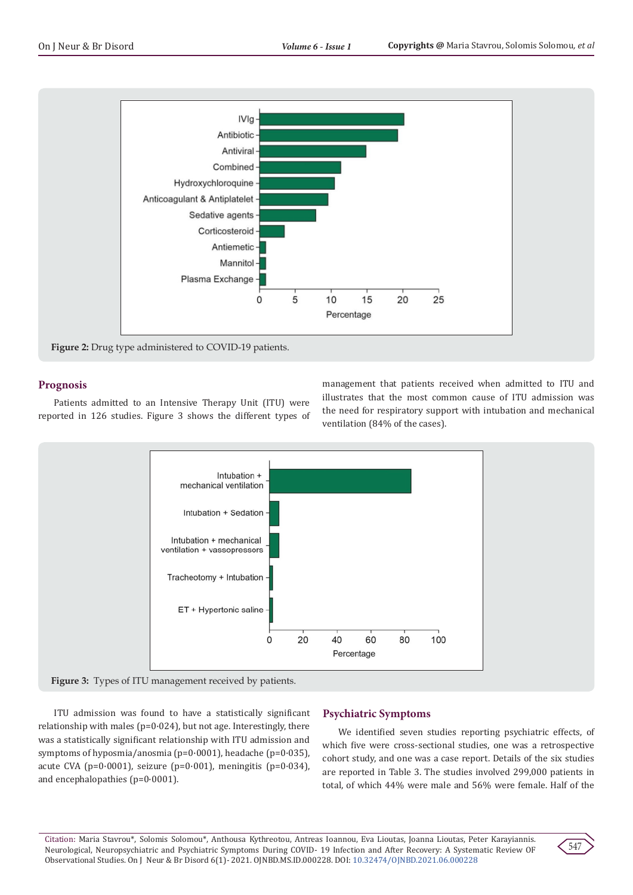

# **Prognosis**

Patients admitted to an Intensive Therapy Unit (ITU) were reported in 126 studies. Figure 3 shows the different types of management that patients received when admitted to ITU and illustrates that the most common cause of ITU admission was the need for respiratory support with intubation and mechanical ventilation (84% of the cases).



ITU admission was found to have a statistically significant relationship with males ( $p=0.024$ ), but not age. Interestingly, there was a statistically significant relationship with ITU admission and symptoms of hyposmia/anosmia (p=0·0001), headache (p=0·035), acute CVA ( $p=0.0001$ ), seizure ( $p=0.001$ ), meningitis ( $p=0.034$ ), and encephalopathies (p=0·0001).

# **Psychiatric Symptoms**

We identified seven studies reporting psychiatric effects, of which five were cross-sectional studies, one was a retrospective cohort study, and one was a case report. Details of the six studies are reported in Table 3. The studies involved 299,000 patients in total, of which 44% were male and 56% were female. Half of the

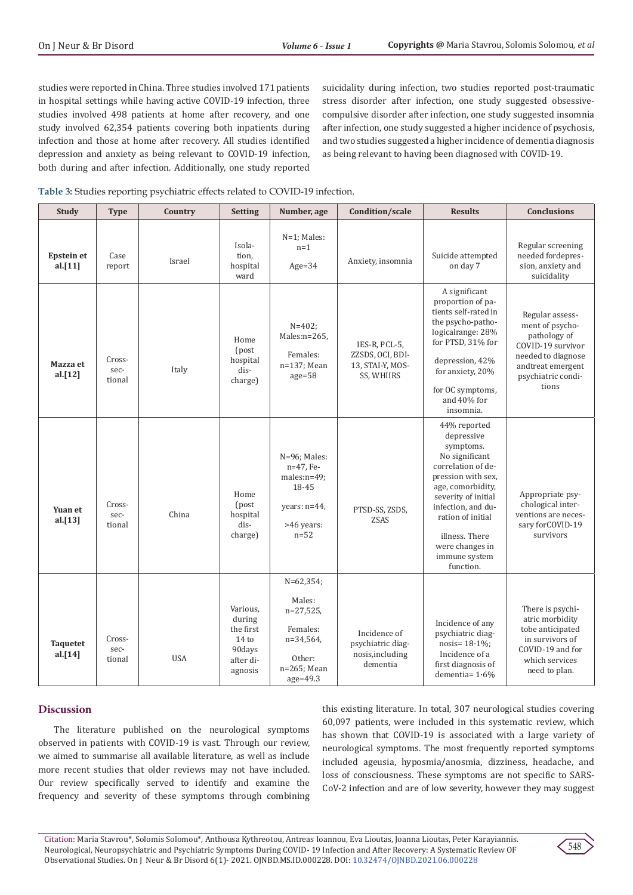studies were reported in China. Three studies involved 171 patients in hospital settings while having active COVID-19 infection, three studies involved 498 patients at home after recovery, and one study involved 62,354 patients covering both inpatients during infection and those at home after recovery. All studies identified depression and anxiety as being relevant to COVID-19 infection, both during and after infection. Additionally, one study reported

suicidality during infection, two studies reported post-traumatic stress disorder after infection, one study suggested obsessivecompulsive disorder after infection, one study suggested insomnia after infection, one study suggested a higher incidence of psychosis, and two studies suggested a higher incidence of dementia diagnosis as being relevant to having been diagnosed with COVID-19.

|  |  |  |  | Table 3: Studies reporting psychiatric effects related to COVID-19 infection. |
|--|--|--|--|-------------------------------------------------------------------------------|
|--|--|--|--|-------------------------------------------------------------------------------|

| <b>Study</b>                    | <b>Type</b>              | Country    | <b>Setting</b>                                                                        | Number, age                                                                                            | Condition/scale                                                     | <b>Results</b>                                                                                                                                                                                                                                                  | <b>Conclusions</b>                                                                                                                                |
|---------------------------------|--------------------------|------------|---------------------------------------------------------------------------------------|--------------------------------------------------------------------------------------------------------|---------------------------------------------------------------------|-----------------------------------------------------------------------------------------------------------------------------------------------------------------------------------------------------------------------------------------------------------------|---------------------------------------------------------------------------------------------------------------------------------------------------|
| <b>Epstein et</b><br>al. $[11]$ | Case<br>report           | Israel     | Isola-<br>tion,<br>hospital<br>ward                                                   | N=1; Males:<br>$n=1$<br>$Age = 34$                                                                     | Anxiety, insomnia                                                   | Suicide attempted<br>on day 7                                                                                                                                                                                                                                   | Regular screening<br>needed fordepres-<br>sion, anxiety and<br>suicidality                                                                        |
| Mazza et<br>al.[12]             | Cross-<br>sec-<br>tional | Italy      | Home<br>(post<br>hospital<br>dis-<br>charge)                                          | $N = 402$ ;<br>Males:n=265,<br>Females:<br>n=137; Mean<br>$age = 58$                                   | IES-R, PCL-5,<br>ZZSDS, OCI, BDI-<br>13, STAI-Y, MOS-<br>SS, WHIIRS | A significant<br>proportion of pa-<br>tients self-rated in<br>the psycho-patho-<br>logicalrange: 28%<br>for PTSD, 31% for<br>depression, 42%<br>for anxiety, 20%<br>for OC symptoms,<br>and 40% for<br>insomnia.                                                | Regular assess-<br>ment of psycho-<br>pathology of<br>COVID-19 survivor<br>needed to diagnose<br>andtreat emergent<br>psychiatric condi-<br>tions |
| Yuan et<br>al. $[13]$           | Cross-<br>sec-<br>tional | China      | Home<br>(post<br>hospital<br>dis-<br>charge)                                          | $N=96$ ; Males:<br>n=47, Fe-<br>males:n=49;<br>18-45<br>years: $n=44$ ,<br>>46 years:<br>$n=52$        | PTSD-SS, ZSDS,<br><b>ZSAS</b>                                       | 44% reported<br>depressive<br>symptoms.<br>No significant<br>correlation of de-<br>pression with sex,<br>age, comorbidity,<br>severity of initial<br>infection, and du-<br>ration of initial<br>illness. There<br>were changes in<br>immune system<br>function. | Appropriate psy-<br>chological inter-<br>ventions are neces-<br>sary forCOVID-19<br>survivors                                                     |
| <b>Taquetet</b><br>al.[14]      | Cross-<br>sec-<br>tional | <b>USA</b> | Various,<br>during<br>the first<br>14 <sub>to</sub><br>90days<br>after di-<br>agnosis | $N=62,354;$<br>Males:<br>$n=27,525$<br>Females:<br>n=34,564,<br>Other:<br>$n=265$ ; Mean<br>$age=49.3$ | Incidence of<br>psychiatric diag-<br>nosis, including<br>dementia   | Incidence of any<br>psychiatric diag-<br>nosis= $18.1\%$ ;<br>Incidence of a<br>first diagnosis of<br>dementia= $1.6\%$                                                                                                                                         | There is psychi-<br>atric morbidity<br>tobe anticipated<br>in survivors of<br>COVID-19 and for<br>which services<br>need to plan.                 |

#### **Discussion**

The literature published on the neurological symptoms observed in patients with COVID-19 is vast. Through our review, we aimed to summarise all available literature, as well as include more recent studies that older reviews may not have included. Our review specifically served to identify and examine the frequency and severity of these symptoms through combining this existing literature. In total, 307 neurological studies covering 60,097 patients, were included in this systematic review, which has shown that COVID-19 is associated with a large variety of neurological symptoms. The most frequently reported symptoms included ageusia, hyposmia/anosmia, dizziness, headache, and loss of consciousness. These symptoms are not specific to SARS-CoV-2 infection and are of low severity, however they may suggest

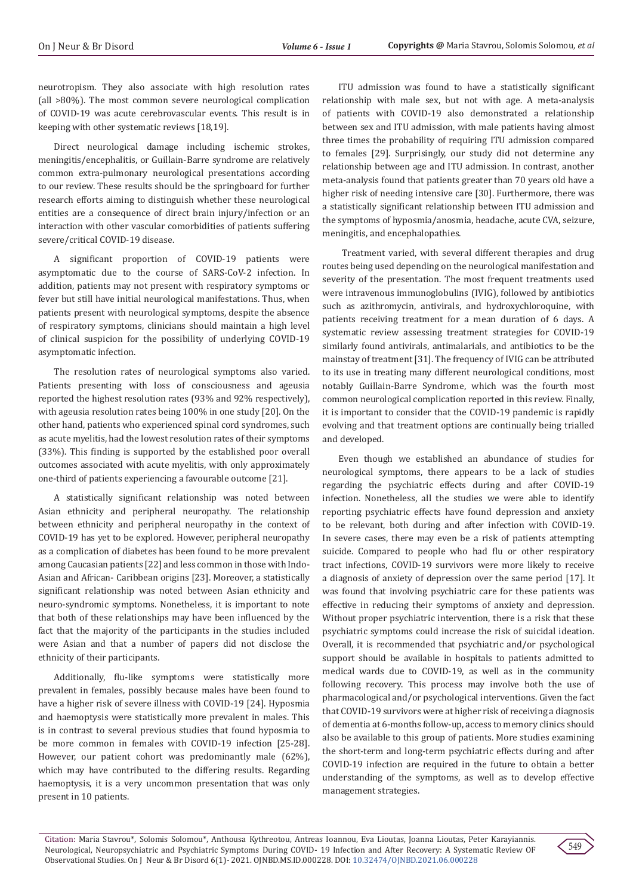neurotropism. They also associate with high resolution rates (all >80%). The most common severe neurological complication of COVID-19 was acute cerebrovascular events. This result is in keeping with other systematic reviews [18,19].

Direct neurological damage including ischemic strokes, meningitis/encephalitis, or Guillain-Barre syndrome are relatively common extra-pulmonary neurological presentations according to our review. These results should be the springboard for further research efforts aiming to distinguish whether these neurological entities are a consequence of direct brain injury/infection or an interaction with other vascular comorbidities of patients suffering severe/critical COVID-19 disease.

A significant proportion of COVID-19 patients were asymptomatic due to the course of SARS-CoV-2 infection. In addition, patients may not present with respiratory symptoms or fever but still have initial neurological manifestations. Thus, when patients present with neurological symptoms, despite the absence of respiratory symptoms, clinicians should maintain a high level of clinical suspicion for the possibility of underlying COVID-19 asymptomatic infection.

The resolution rates of neurological symptoms also varied. Patients presenting with loss of consciousness and ageusia reported the highest resolution rates (93% and 92% respectively), with ageusia resolution rates being 100% in one study [20]. On the other hand, patients who experienced spinal cord syndromes, such as acute myelitis, had the lowest resolution rates of their symptoms (33%). This finding is supported by the established poor overall outcomes associated with acute myelitis, with only approximately one-third of patients experiencing a favourable outcome [21].

A statistically significant relationship was noted between Asian ethnicity and peripheral neuropathy. The relationship between ethnicity and peripheral neuropathy in the context of COVID-19 has yet to be explored. However, peripheral neuropathy as a complication of diabetes has been found to be more prevalent among Caucasian patients [22] and less common in those with Indo-Asian and African- Caribbean origins [23]. Moreover, a statistically significant relationship was noted between Asian ethnicity and neuro-syndromic symptoms. Nonetheless, it is important to note that both of these relationships may have been influenced by the fact that the majority of the participants in the studies included were Asian and that a number of papers did not disclose the ethnicity of their participants.

Additionally, flu-like symptoms were statistically more prevalent in females, possibly because males have been found to have a higher risk of severe illness with COVID-19 [24]. Hyposmia and haemoptysis were statistically more prevalent in males. This is in contrast to several previous studies that found hyposmia to be more common in females with COVID-19 infection [25-28]. However, our patient cohort was predominantly male (62%), which may have contributed to the differing results. Regarding haemoptysis, it is a very uncommon presentation that was only present in 10 patients.

ITU admission was found to have a statistically significant relationship with male sex, but not with age. A meta-analysis of patients with COVID-19 also demonstrated a relationship between sex and ITU admission, with male patients having almost three times the probability of requiring ITU admission compared to females [29]. Surprisingly, our study did not determine any relationship between age and ITU admission. In contrast, another meta-analysis found that patients greater than 70 years old have a higher risk of needing intensive care [30]. Furthermore, there was a statistically significant relationship between ITU admission and the symptoms of hyposmia/anosmia, headache, acute CVA, seizure, meningitis, and encephalopathies.

 Treatment varied, with several different therapies and drug routes being used depending on the neurological manifestation and severity of the presentation. The most frequent treatments used were intravenous immunoglobulins (IVIG), followed by antibiotics such as azithromycin, antivirals, and hydroxychloroquine, with patients receiving treatment for a mean duration of 6 days. A systematic review assessing treatment strategies for COVID-19 similarly found antivirals, antimalarials, and antibiotics to be the mainstay of treatment [31]. The frequency of IVIG can be attributed to its use in treating many different neurological conditions, most notably Guillain-Barre Syndrome, which was the fourth most common neurological complication reported in this review. Finally, it is important to consider that the COVID-19 pandemic is rapidly evolving and that treatment options are continually being trialled and developed.

Even though we established an abundance of studies for neurological symptoms, there appears to be a lack of studies regarding the psychiatric effects during and after COVID-19 infection. Nonetheless, all the studies we were able to identify reporting psychiatric effects have found depression and anxiety to be relevant, both during and after infection with COVID-19. In severe cases, there may even be a risk of patients attempting suicide. Compared to people who had flu or other respiratory tract infections, COVID-19 survivors were more likely to receive a diagnosis of anxiety of depression over the same period [17]. It was found that involving psychiatric care for these patients was effective in reducing their symptoms of anxiety and depression. Without proper psychiatric intervention, there is a risk that these psychiatric symptoms could increase the risk of suicidal ideation. Overall, it is recommended that psychiatric and/or psychological support should be available in hospitals to patients admitted to medical wards due to COVID-19, as well as in the community following recovery. This process may involve both the use of pharmacological and/or psychological interventions. Given the fact that COVID-19 survivors were at higher risk of receiving a diagnosis of dementia at 6-months follow-up, access to memory clinics should also be available to this group of patients. More studies examining the short-term and long-term psychiatric effects during and after COVID-19 infection are required in the future to obtain a better understanding of the symptoms, as well as to develop effective management strategies.

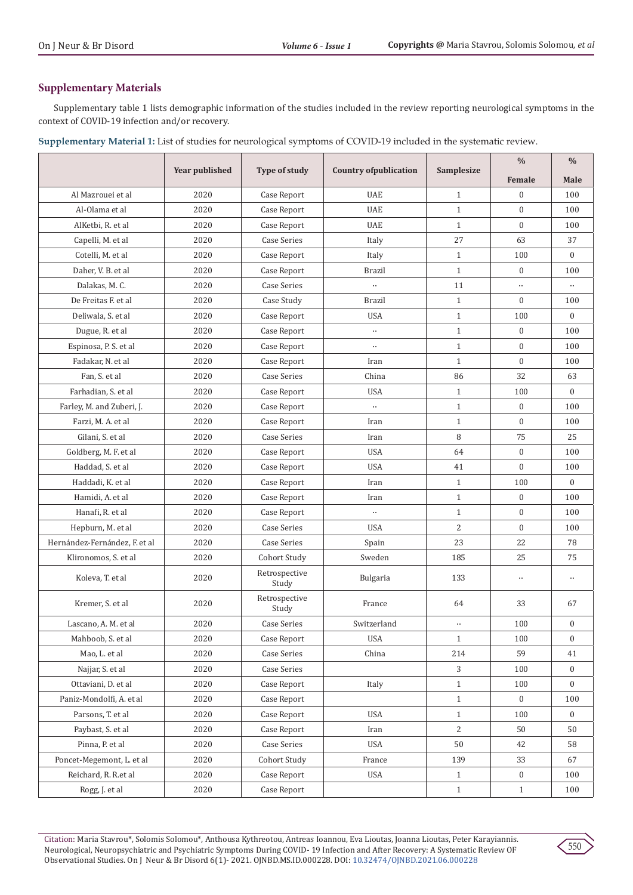# **Supplementary Materials**

Supplementary table 1 lists demographic information of the studies included in the review reporting neurological symptoms in the context of COVID-19 infection and/or recovery.

**Supplementary Material 1:** List of studies for neurological symptoms of COVID-19 included in the systematic review.

|                               | <b>Year published</b> |                        | <b>Country ofpublication</b> | <b>Samplesize</b> | $\frac{0}{0}$    | $\frac{0}{0}$    |
|-------------------------------|-----------------------|------------------------|------------------------------|-------------------|------------------|------------------|
|                               |                       | Type of study          |                              |                   | Female           | Male             |
| Al Mazrouei et al             | 2020                  | Case Report            | <b>UAE</b>                   | $\mathbf{1}$      | $\boldsymbol{0}$ | 100              |
| Al-Olama et al                | 2020                  | Case Report            | <b>UAE</b>                   | $\mathbf{1}$      | $\overline{0}$   | 100              |
| AlKetbi, R. et al             | 2020                  | Case Report            | <b>UAE</b>                   | $\mathbf{1}$      | $\overline{0}$   | 100              |
| Capelli, M. et al             | 2020                  | <b>Case Series</b>     | Italy                        | 27                | 63               | 37               |
| Cotelli, M. et al             | 2020                  | Case Report            | Italy                        | $\mathbf{1}$      | 100              | $\Omega$         |
| Daher, V. B. et al            | 2020                  | Case Report            | Brazil                       | $\mathbf{1}$      | $\boldsymbol{0}$ | 100              |
| Dalakas, M. C.                | 2020                  | <b>Case Series</b>     | $\ddotsc$                    | 11                |                  | $\ddotsc$        |
| De Freitas F. et al.          | 2020                  | Case Study             | <b>Brazil</b>                | $\mathbf{1}$      | $\overline{0}$   | 100              |
| Deliwala, S. et al            | 2020                  | Case Report            | <b>USA</b>                   | $\mathbf{1}$      | 100              | $\mathbf{0}$     |
| Dugue, R. et al               | 2020                  | Case Report            | $\ldots$                     | $\mathbf{1}$      | $\mathbf{0}$     | 100              |
| Espinosa, P. S. et al         | 2020                  | Case Report            | $\ddotsc$                    | $\mathbf{1}$      | $\overline{0}$   | 100              |
| Fadakar, N. et al             | 2020                  | Case Report            | Iran                         | $\mathbf{1}$      | $\overline{0}$   | 100              |
| Fan, S. et al                 | 2020                  | <b>Case Series</b>     | China                        | 86                | 32               | 63               |
| Farhadian, S. et al           | 2020                  | Case Report            | <b>USA</b>                   | $\mathbf{1}$      | 100              | $\mathbf{0}$     |
| Farley, M. and Zuberi, J.     | 2020                  | Case Report            | $\ddotsc$                    | $\mathbf{1}$      | $\mathbf{0}$     | 100              |
| Farzi, M. A. et al            | 2020                  | Case Report            | Iran                         | $\mathbf{1}$      | $\overline{0}$   | 100              |
| Gilani, S. et al              | 2020                  | <b>Case Series</b>     | Iran                         | 8                 | 75               | 25               |
| Goldberg, M. F. et al         | 2020                  | Case Report            | <b>USA</b>                   | 64                | $\overline{0}$   | 100              |
| Haddad, S. et al              | 2020                  | Case Report            | <b>USA</b>                   | 41                | $\mathbf{0}$     | 100              |
| Haddadi, K. et al             | 2020                  | Case Report            | Iran                         | $\mathbf{1}$      | 100              | $\mathbf{0}$     |
| Hamidi, A. et al              | 2020                  | Case Report            | Iran                         | $\mathbf{1}$      | $\boldsymbol{0}$ | 100              |
| Hanafi, R. et al              | 2020                  | Case Report            | $\ddotsc$                    | $\mathbf{1}$      | $\boldsymbol{0}$ | 100              |
| Hepburn, M. et al             | 2020                  | <b>Case Series</b>     | <b>USA</b>                   | 2                 | $\overline{0}$   | 100              |
| Hernández-Fernández, F. et al | 2020                  | <b>Case Series</b>     | Spain                        | 23                | 22               | 78               |
| Klironomos, S. et al          | 2020                  | Cohort Study           | Sweden                       | 185               | 25               | 75               |
| Koleva, T. et al              | 2020                  | Retrospective<br>Study | Bulgaria                     | 133               | $\ldots$         | $\ddotsc$        |
| Kremer, S. et al              | 2020                  | Retrospective<br>Study | France                       | 64                | 33               | 67               |
| Lascano, A. M. et al          | 2020                  | <b>Case Series</b>     | Switzerland                  | $\ddotsc$         | 100              | $\boldsymbol{0}$ |
| Mahboob, S. et al             | 2020                  | Case Report            | USA                          | $\mathbf{1}$      | 100              | $\boldsymbol{0}$ |
| Mao, L. et al                 | 2020                  | <b>Case Series</b>     | China                        | 214               | 59               | 41               |
| Najjar, S. et al              | 2020                  | <b>Case Series</b>     |                              | 3                 | 100              | $\mathbf{0}$     |
| Ottaviani, D. et al           | 2020                  | Case Report            | Italy                        | $\mathbf{1}$      | 100              | 0                |
| Paniz-Mondolfi, A. et al      | 2020                  | Case Report            |                              | $\mathbf{1}$      | $\overline{0}$   | 100              |
| Parsons, T. et al             | 2020                  | Case Report            | <b>USA</b>                   | $\mathbf{1}$      | 100              | $\boldsymbol{0}$ |
| Paybast, S. et al             | 2020                  | Case Report            | Iran                         | 2                 | 50               | 50               |
| Pinna, P. et al               | 2020                  | Case Series            | <b>USA</b>                   | 50                | 42               | 58               |
| Poncet-Megemont, L. et al     | 2020                  | Cohort Study           | France                       | 139               | 33               | 67               |
| Reichard, R. R.et al          | 2020                  | Case Report            | USA                          | $\mathbf{1}$      | $\boldsymbol{0}$ | 100              |
| Rogg, J. et al                | 2020                  | Case Report            |                              | $\mathbf{1}$      | $\mathbf{1}$     | 100              |

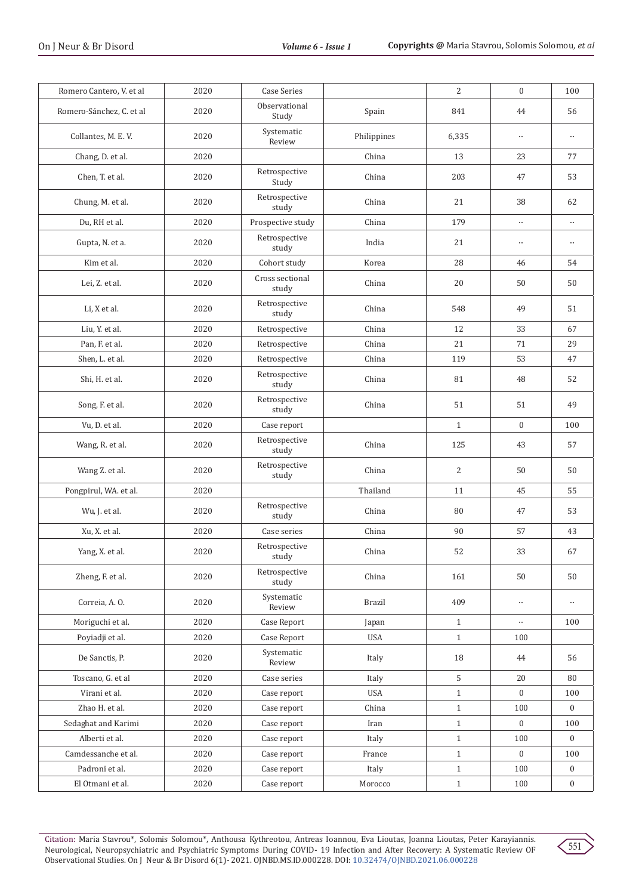| Romero Cantero, V. et al | 2020 | <b>Case Series</b>       |               | 2            | $\mathbf{0}$     | 100          |
|--------------------------|------|--------------------------|---------------|--------------|------------------|--------------|
| Romero-Sánchez, C. et al | 2020 | Observational<br>Study   | Spain         | 841          | 44               | 56           |
| Collantes, M. E. V.      | 2020 | Systematic<br>Review     | Philippines   | 6,335        | $\ldots$         | $\cdots$     |
| Chang, D. et al.         | 2020 |                          | China         | 13           | 23               | 77           |
| Chen, T. et al.          | 2020 | Retrospective<br>Study   | China         | 203          | 47               | 53           |
| Chung, M. et al.         | 2020 | Retrospective<br>study   | China         | 21           | 38               | 62           |
| Du, RH et al.            | 2020 | Prospective study        | China         | 179          | $\ddotsc$        | $\ddotsc$    |
| Gupta, N. et a.          | 2020 | Retrospective<br>study   | India         | 21           | $\ldots$         | $\ldots$     |
| Kim et al.               | 2020 | Cohort study             | Korea         | 28           | 46               | 54           |
| Lei, Z. et al.           | 2020 | Cross sectional<br>study | China         | 20           | 50               | 50           |
| Li, X et al.             | 2020 | Retrospective<br>study   | China         | 548          | 49               | 51           |
| Liu, Y. et al.           | 2020 | Retrospective            | China         | 12           | 33               | 67           |
| Pan, F. et al.           | 2020 | Retrospective            | China         | 21           | 71               | 29           |
| Shen, L. et al.          | 2020 | Retrospective            | China         | 119          | 53               | 47           |
| Shi, H. et al.           | 2020 | Retrospective<br>study   | China         | 81           | 48               | 52           |
| Song, F. et al.          | 2020 | Retrospective<br>study   | China         | 51           | 51               | 49           |
| Vu, D. et al.            | 2020 | Case report              |               | $\mathbf{1}$ | $\boldsymbol{0}$ | 100          |
| Wang, R. et al.          | 2020 | Retrospective<br>study   | China         | 125          | 43               | 57           |
| Wang Z. et al.           | 2020 | Retrospective<br>study   | China         | 2            | 50               | 50           |
| Pongpirul, WA. et al.    | 2020 |                          | Thailand      | 11           | 45               | 55           |
| Wu, J. et al.            | 2020 | Retrospective<br>study   | China         | 80           | 47               | 53           |
| Xu, X. et al.            | 2020 | Case series              | China         | 90           | 57               | 43           |
| Yang, X. et al.          | 2020 | Retrospective<br>study   | China         | 52           | 33               | 67           |
| Zheng, F. et al.         | 2020 | Retrospective<br>study   | China         | 161          | 50               | 50           |
| Correia, A.O.            | 2020 | Systematic<br>Review     | <b>Brazil</b> | 409          | $\ldots$         | $\cdots$     |
| Moriguchi et al.         | 2020 | Case Report              | Japan         | $\mathbf{1}$ | $\ldots$         | 100          |
| Poyiadji et al.          | 2020 | Case Report              | <b>USA</b>    | $\mathbf{1}$ | 100              |              |
| De Sanctis, P.           | 2020 | Systematic<br>Review     | Italy         | 18           | 44               | 56           |
| Toscano, G. et al        | 2020 | Case series              | Italy         | 5            | 20               | 80           |
| Virani et al.            | 2020 | Case report              | USA           | $\mathbf{1}$ | $\overline{0}$   | 100          |
| Zhao H. et al.           | 2020 | Case report              | China         | $\mathbf{1}$ | 100              | $\mathbf{0}$ |
| Sedaghat and Karimi      | 2020 | Case report              | Iran          | $\mathbf{1}$ | $\boldsymbol{0}$ | 100          |
| Alberti et al.           | 2020 | Case report              | Italy         | $\mathbf{1}$ | 100              | $\mathbf{0}$ |
| Camdessanche et al.      | 2020 | Case report              | France        | $\mathbf{1}$ | $\mathbf{0}$     | 100          |
| Padroni et al.           | 2020 | Case report              | Italy         | $\mathbf{1}$ | 100              | $\bf{0}$     |
| El Otmani et al.         | 2020 | Case report              | Morocco       | $\mathbf{1}$ | 100              | $\mathbf{0}$ |

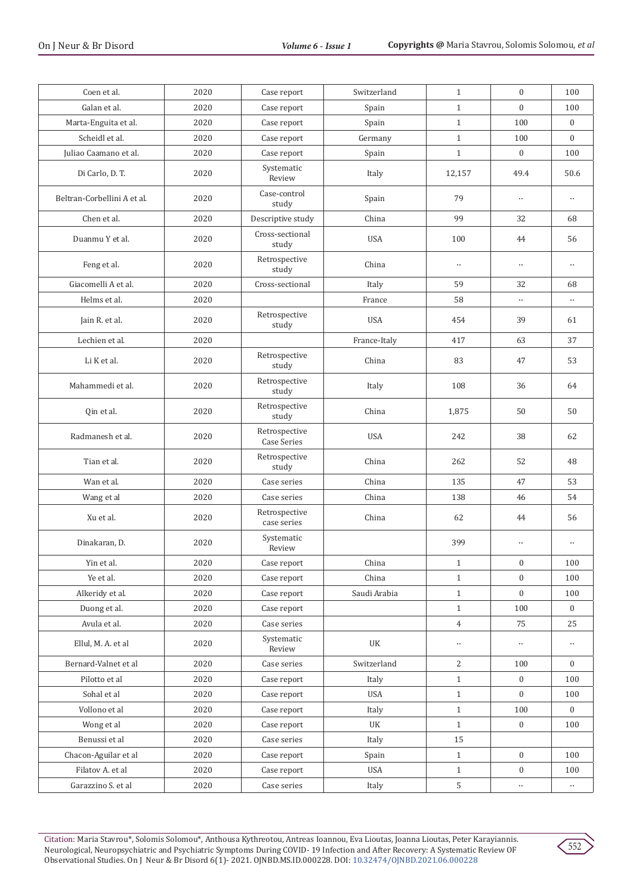| Coen et al.                 | 2020 | Case report                         | Switzerland  | $\mathbf{1}$   | $\mathbf{0}$     | 100                  |
|-----------------------------|------|-------------------------------------|--------------|----------------|------------------|----------------------|
| Galan et al.                | 2020 | Case report                         | Spain        | $\mathbf{1}$   | $\overline{0}$   | 100                  |
| Marta-Enguita et al.        | 2020 | Case report                         | Spain        | $\mathbf{1}$   | 100              | $\boldsymbol{0}$     |
| Scheidl et al.              | 2020 | Case report                         | Germany      | $\mathbf{1}$   | 100              | $\mathbf{0}$         |
| Juliao Caamano et al.       | 2020 | Case report                         | Spain        | $\mathbf{1}$   | $\mathbf{0}$     | 100                  |
| Di Carlo, D. T.             | 2020 | Systematic<br>Review                | Italy        | 12,157         | 49.4             | 50.6                 |
| Beltran-Corbellini A et al. | 2020 | Case-control<br>study               | Spain        | 79             | $\ldots$         | $\ddot{\phantom{a}}$ |
| Chen et al.                 | 2020 | Descriptive study                   | China        | 99             | 32               | 68                   |
| Duanmu Y et al.             | 2020 | Cross-sectional<br>study            | <b>USA</b>   | 100            | 44               | 56                   |
| Feng et al.                 | 2020 | Retrospective<br>study              | China        | $\ldots$       | $\ldots$         | $\ddotsc$            |
| Giacomelli A et al.         | 2020 | Cross-sectional                     | Italy        | 59             | 32               | 68                   |
| Helms et al.                | 2020 |                                     | France       | 58             | $\ddotsc$        | $\ldots$             |
| Jain R. et al.              | 2020 | Retrospective<br>study              | <b>USA</b>   | 454            | 39               | 61                   |
| Lechien et al.              | 2020 |                                     | France-Italy | 417            | 63               | 37                   |
| Li K et al.                 | 2020 | Retrospective<br>study              | China        | 83             | 47               | 53                   |
| Mahammedi et al.            | 2020 | Retrospective<br>study              | Italy        | 108            | 36               | 64                   |
| Qin et al.                  | 2020 | Retrospective<br>study              | China        | 1,875          | 50               | 50                   |
| Radmanesh et al.            | 2020 | Retrospective<br><b>Case Series</b> | <b>USA</b>   | 242            | 38               | 62                   |
| Tian et al.                 | 2020 | Retrospective<br>study              | China        | 262            | 52               | 48                   |
| Wan et al.                  | 2020 | Case series                         | China        | 135            | 47               | 53                   |
| Wang et al                  | 2020 | Case series                         | China        | 138            | 46               | 54                   |
| Xu et al.                   | 2020 | Retrospective<br>case series        | China        | 62             | 44               | 56                   |
| Dinakaran, D.               | 2020 | Systematic<br>Review                |              | 399            | $\ldots$         | $\ddotsc$            |
| Yin et al.                  | 2020 | Case report                         | China        | $\mathbf{1}$   | $\boldsymbol{0}$ | 100                  |
| Ye et al.                   | 2020 | Case report                         | China        | $\mathbf{1}$   | $\boldsymbol{0}$ | 100                  |
| Alkeridy et al.             | 2020 | Case report                         | Saudi Arabia | $\mathbf{1}$   | $\mathbf{0}$     | 100                  |
| Duong et al.                | 2020 | Case report                         |              | $\mathbf{1}$   | 100              | $\bf{0}$             |
| Avula et al.                | 2020 | Case series                         |              | $\overline{4}$ | 75               | 25                   |
| Ellul, M. A. et al          | 2020 | Systematic<br>Review                | UK           | $\ldots$       | $\ddotsc$        | $\ddotsc$            |
| Bernard-Valnet et al        | 2020 | Case series                         | Switzerland  | $\overline{c}$ | 100              | $\mathbf{0}$         |
| Pilotto et al               | 2020 | Case report                         | Italy        | $\mathbf{1}$   | $\mathbf{0}$     | 100                  |
| Sohal et al                 | 2020 | Case report                         | USA          | $\mathbf{1}$   | $\mathbf{0}$     | 100                  |
| Vollono et al               | 2020 | Case report                         | Italy        | $\mathbf{1}$   | 100              | $\overline{0}$       |
| Wong et al                  | 2020 | Case report                         | UK           | $\mathbf{1}$   | $\mathbf{0}$     | 100                  |
| Benussi et al               | 2020 | Case series                         | Italy        | 15             |                  |                      |
| Chacon-Aguilar et al        | 2020 | Case report                         | Spain        | $\mathbf{1}$   | $\boldsymbol{0}$ | 100                  |
| Filatov A. et al            | 2020 | Case report                         | USA          | $\mathbf{1}$   | $\mathbf{0}$     | 100                  |
| Garazzino S. et al          | 2020 | Case series                         | Italy        | 5              | $\cdots$         | $\ddotsc$            |

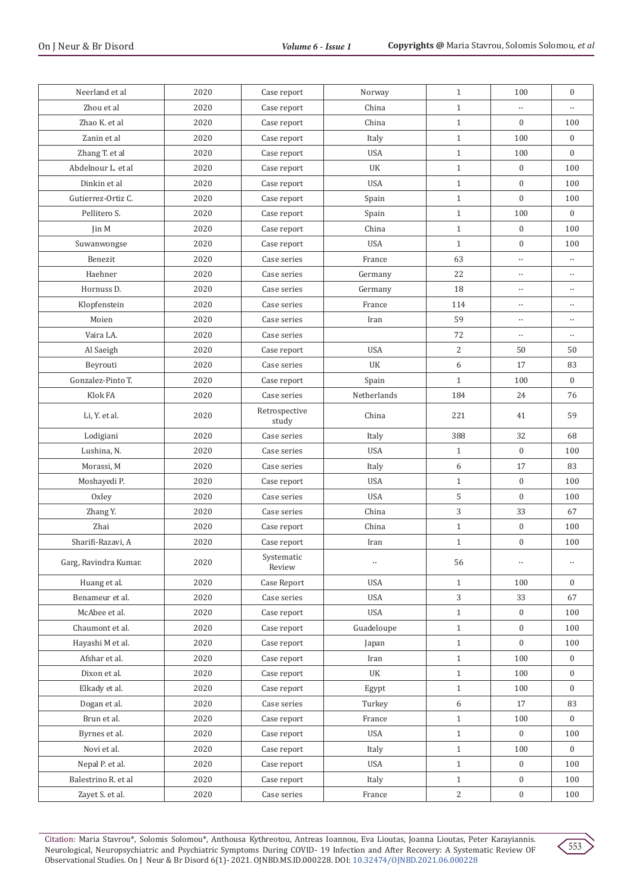| Neerland et al        | 2020 | Case report            | Norway      | $\mathbf{1}$   | 100              | $\boldsymbol{0}$ |
|-----------------------|------|------------------------|-------------|----------------|------------------|------------------|
| Zhou et al            | 2020 | Case report            | China       | $\mathbf{1}$   | $\ddotsc$        | $\ddotsc$        |
| Zhao K. et al         | 2020 | Case report            | China       | $1\,$          | $\boldsymbol{0}$ | 100              |
| Zanin et al           | 2020 | Case report            | Italy       | $\mathbf{1}$   | 100              | $\mathbf{0}$     |
| Zhang T. et al        | 2020 | Case report            | <b>USA</b>  | $1\,$          | 100              | $\mathbf{0}$     |
| Abdelnour L. et al    | 2020 | Case report            | UK          | $\mathbf{1}$   | $\boldsymbol{0}$ | 100              |
| Dinkin et al          | 2020 | Case report            | <b>USA</b>  | $\mathbf{1}$   | $\boldsymbol{0}$ | 100              |
| Gutierrez-Ortiz C.    | 2020 | Case report            | Spain       | $1\,$          | $\boldsymbol{0}$ | 100              |
| Pellitero S.          | 2020 | Case report            | Spain       | $1\,$          | 100              | $\mathbf{0}$     |
| Jin M                 | 2020 | Case report            | China       | $\mathbf{1}$   | $\boldsymbol{0}$ | 100              |
| Suwanwongse           | 2020 | Case report            | <b>USA</b>  | $\mathbf{1}$   | $\boldsymbol{0}$ | 100              |
| Benezit               | 2020 | Case series            | France      | 63             | $\ldots$         |                  |
| Haehner               | 2020 | Case series            | Germany     | 22             | $\ddotsc$        | $\ddotsc$        |
| Hornuss D.            | 2020 | Case series            | Germany     | 18             | $\ddotsc$        | $\ddotsc$        |
| Klopfenstein          | 2020 | Case series            | France      | 114            | $\ldots$         | $\ddotsc$        |
| Moien                 | 2020 | Case series            | Iran        | 59             | $\ddotsc$        |                  |
| Vaira LA.             | 2020 | Case series            |             | 72             | $\ldots$         | $\ddotsc$        |
| Al Saeigh             | 2020 | Case report            | <b>USA</b>  | $\overline{2}$ | 50               | 50               |
| Beyrouti              | 2020 | Case series            | UK          | 6              | 17               | 83               |
| Gonzalez-Pinto T.     | 2020 | Case report            | Spain       | $\mathbf{1}$   | 100              | $\mathbf{0}$     |
| Klok FA               | 2020 | Case series            | Netherlands | 184            | 24               | 76               |
| Li, Y. et al.         | 2020 | Retrospective<br>study | China       | 221            | 41               | 59               |
| Lodigiani             | 2020 | Case series            | Italy       | 388            | 32               | 68               |
| Lushina, N.           | 2020 | Case series            | <b>USA</b>  | $\mathbf{1}$   | $\boldsymbol{0}$ | 100              |
| Morassi, M            | 2020 | Case series            | Italy       | 6              | 17               | 83               |
| Moshayedi P.          | 2020 | Case report            | <b>USA</b>  | $1\,$          | $\boldsymbol{0}$ | 100              |
| Oxley                 | 2020 | Case series            | <b>USA</b>  | 5              | $\mathbf{0}$     | 100              |
| Zhang Y.              | 2020 | Case series            | China       | 3              | 33               | 67               |
| Zhai                  | 2020 | Case report            | China       | $\mathbf{1}$   | $\boldsymbol{0}$ | 100              |
| Sharifi-Razavi, A     | 2020 | Case report            | Iran        | $1\,$          | $\boldsymbol{0}$ | 100              |
| Garg, Ravindra Kumar. | 2020 | Systematic<br>Review   | $\ldots$    | 56             | $\cdots$         | $\ldots$         |
| Huang et al.          | 2020 | Case Report            | USA         | $\mathbf{1}$   | 100              | $\mathbf{0}$     |
| Benameur et al.       | 2020 | Case series            | USA         | 3              | 33               | 67               |
| McAbee et al.         | 2020 | Case report            | USA         | $\mathbf{1}$   | $\boldsymbol{0}$ | 100              |
| Chaumont et al.       | 2020 | Case report            | Guadeloupe  | $\mathbf{1}$   | $\boldsymbol{0}$ | 100              |
| Hayashi M et al.      | 2020 | Case report            | Japan       | $\mathbf{1}$   | $\mathbf{0}$     | 100              |
| Afshar et al.         | 2020 | Case report            | Iran        | $\mathbf{1}$   | 100              | $\bf{0}$         |
| Dixon et al.          | 2020 | Case report            | UK          | $\mathbf{1}$   | 100              | $\mathbf{0}$     |
| Elkady et al.         | 2020 | Case report            | Egypt       | $1\,$          | 100              | $\mathbf{0}$     |
| Dogan et al.          | 2020 | Case series            | Turkey      | 6              | 17               | 83               |
| Brun et al.           | 2020 | Case report            | France      | $\mathbf{1}$   | 100              | $\mathbf{0}$     |
| Byrnes et al.         | 2020 | Case report            | USA         | $1\,$          | $\boldsymbol{0}$ | 100              |
| Novi et al.           | 2020 | Case report            | Italy       | $\mathbf{1}$   | 100              | $\mathbf{0}$     |
| Nepal P. et al.       | 2020 | Case report            | USA         | $\mathbf{1}$   | $\mathbf{0}$     | 100              |
| Balestrino R. et al   | 2020 | Case report            | Italy       | $\mathbf{1}$   | $\boldsymbol{0}$ | 100              |
| Zayet S. et al.       | 2020 | Case series            | France      | 2              | $\boldsymbol{0}$ | 100              |

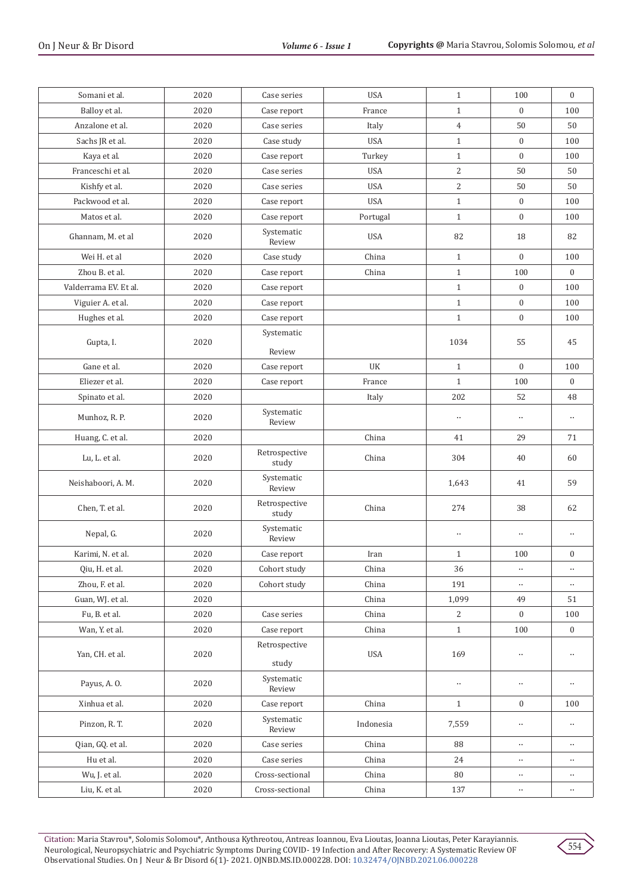| Somani et al.         | 2020 | Case series            | <b>USA</b> | $\mathbf{1}$   | 100              | $\mathbf{0}$     |
|-----------------------|------|------------------------|------------|----------------|------------------|------------------|
| Balloy et al.         | 2020 | Case report            | France     | $\mathbf{1}$   | $\boldsymbol{0}$ | 100              |
| Anzalone et al.       | 2020 | Case series            | Italy      | $\overline{4}$ | 50               | 50               |
| Sachs JR et al.       | 2020 | Case study             | <b>USA</b> | $\mathbf{1}$   | $\overline{0}$   | 100              |
| Kaya et al.           | 2020 | Case report            | Turkey     | $\mathbf{1}$   | $\boldsymbol{0}$ | 100              |
| Franceschi et al.     | 2020 | Case series            | <b>USA</b> | $\overline{2}$ | 50               | 50               |
| Kishfy et al.         | 2020 | Case series            | <b>USA</b> | $\overline{2}$ | 50               | 50               |
| Packwood et al.       | 2020 | Case report            | <b>USA</b> | $\mathbf{1}$   | $\boldsymbol{0}$ | 100              |
| Matos et al.          | 2020 | Case report            | Portugal   | $\mathbf{1}$   | $\boldsymbol{0}$ | 100              |
| Ghannam, M. et al     | 2020 | Systematic<br>Review   | <b>USA</b> | 82             | 18               | 82               |
| Wei H. et al          | 2020 | Case study             | China      | $\mathbf{1}$   | $\overline{0}$   | 100              |
| Zhou B. et al.        | 2020 | Case report            | China      | $1\,$          | 100              | $\mathbf{0}$     |
| Valderrama EV. Et al. | 2020 | Case report            |            | $\mathbf{1}$   | $\mathbf{0}$     | 100              |
| Viguier A. et al.     | 2020 | Case report            |            | $\mathbf{1}$   | $\boldsymbol{0}$ | 100              |
| Hughes et al.         | 2020 | Case report            |            | $\mathbf{1}$   | $\boldsymbol{0}$ | 100              |
| Gupta, I.             | 2020 | Systematic<br>Review   |            | 1034           | 55               | 45               |
| Gane et al.           | 2020 | Case report            | UK         | $\mathbf{1}$   | $\boldsymbol{0}$ | 100              |
| Eliezer et al.        | 2020 | Case report            | France     | $\mathbf{1}$   | 100              | $\mathbf{0}$     |
| Spinato et al.        | 2020 |                        | Italy      | 202            | 52               | 48               |
| Munhoz, R. P.         | 2020 | Systematic<br>Review   |            | $\ldots$       | $\ldots$         | $\ldots$         |
| Huang, C. et al.      | 2020 |                        | China      | 41             | 29               | 71               |
| Lu, L. et al.         | 2020 | Retrospective<br>study | China      | 304            | 40               | 60               |
| Neishaboori, A. M.    | 2020 | Systematic<br>Review   |            | 1,643          | 41               | 59               |
| Chen, T. et al.       | 2020 | Retrospective<br>study | China      | 274            | 38               | 62               |
| Nepal, G.             | 2020 | Systematic<br>Review   |            | $\ldots$       | $\ldots$         | $\ddotsc$        |
| Karimi, N. et al.     | 2020 | Case report            | Iran       | $\mathbf{1}$   | 100              | $\boldsymbol{0}$ |
| Qiu, H. et al.        | 2020 | Cohort study           | China      | 36             | $\ldots$         | $\ldots$         |
| Zhou, F. et al.       | 2020 | Cohort study           | China      | 191            | $\ddotsc$        | $\cdots$         |
| Guan, WJ. et al.      | 2020 |                        | China      | 1,099          | 49               | 51               |
| Fu, B. et al.         | 2020 | Case series            | China      | 2              | $\boldsymbol{0}$ | $100\,$          |
| Wan, Y. et al.        | 2020 | Case report            | China      | $\,1\,$        | 100              | $\boldsymbol{0}$ |
| Yan, CH. et al.       | 2020 | Retrospective<br>study | USA        | 169            | $\ddotsc$        | $\cdots$         |
| Payus, A.O.           | 2020 | Systematic<br>Review   |            | $\cdots$       | $\cdots$         | $\cdots$         |
| Xinhua et al.         | 2020 | Case report            | China      | $\mathbf{1}$   | $\boldsymbol{0}$ | 100              |
| Pinzon, R. T.         | 2020 | Systematic<br>Review   | Indonesia  | 7,559          | $\ldots$         | $\cdots$         |
| Qian, GQ. et al.      | 2020 | Case series            | China      | 88             | $\cdots$         | $\ldots$         |
| Hu et al.             | 2020 | Case series            | China      | 24             | $\ldots$         | $\ddotsc$        |
| Wu, J. et al.         | 2020 | Cross-sectional        | China      | 80             | $\ddotsc$        | $\cdots$         |
| Liu, K. et al.        | 2020 | Cross-sectional        | China      | 137            | $\ddotsc$        | $\ddotsc$        |
|                       |      |                        |            |                |                  |                  |

554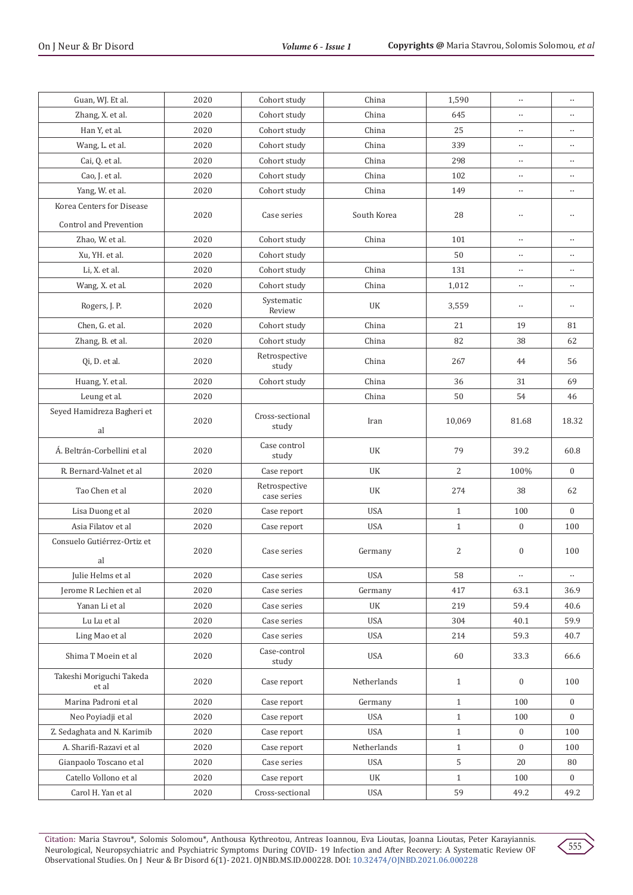| Guan, WJ. Et al.                  | 2020 | Cohort study                 | China       | 1,590        | $\ldots$         | $\ddotsc$        |
|-----------------------------------|------|------------------------------|-------------|--------------|------------------|------------------|
| Zhang, X. et al.                  | 2020 | Cohort study                 | China       | 645          |                  | $\cdots$         |
| Han Y, et al.                     | 2020 | Cohort study                 | China       | 25           | $\ldots$         |                  |
| Wang, L. et al.                   | 2020 | Cohort study                 | China       | 339          | $\ldots$         | $\ddotsc$        |
| Cai, Q. et al.                    | 2020 | Cohort study                 | China       | 298          | $\ldots$         | $\ddotsc$        |
| Cao, J. et al.                    | 2020 | Cohort study                 | China       | 102          | $\ldots$         | $\ddotsc$        |
| Yang, W. et al.                   | 2020 | Cohort study                 | China       | 149          | $\ldots$         | $\ddotsc$        |
| Korea Centers for Disease         | 2020 | Case series                  | South Korea | 28           | $\ldots$         | $\ddotsc$        |
| Control and Prevention            | 2020 |                              |             |              | $\ldots$         |                  |
| Zhao, W. et al.                   |      | Cohort study                 | China       | 101          |                  | $\ddotsc$        |
| Xu, YH. et al.                    | 2020 | Cohort study                 |             | 50           | $\ldots$         | $\ddotsc$        |
| Li, X. et al.                     | 2020 | Cohort study                 | China       | 131          | $\ldots$         |                  |
| Wang, X. et al.                   | 2020 | Cohort study                 | China       | 1,012        | $\ldots$         | $\ldots$         |
| Rogers, J. P.                     | 2020 | Systematic<br>Review         | UK          | 3,559        | $\ddotsc$        | $\ddotsc$        |
| Chen, G. et al.                   | 2020 | Cohort study                 | China       | 21           | 19               | 81               |
| Zhang, B. et al.                  | 2020 | Cohort study                 | China       | 82           | 38               | 62               |
| Oi, D. et al.                     | 2020 | Retrospective<br>study       | China       | 267          | 44               | 56               |
| Huang, Y. et al.                  | 2020 | Cohort study                 | China       | 36           | 31               | 69               |
| Leung et al.                      | 2020 |                              | China       | 50           | 54               | 46               |
| Seyed Hamidreza Bagheri et<br>al  | 2020 | Cross-sectional<br>study     | Iran        | 10,069       | 81.68            | 18.32            |
| Á. Beltrán-Corbellini et al       | 2020 | Case control<br>study        | UK          | 79           | 39.2             | 60.8             |
| R. Bernard-Valnet et al           | 2020 | Case report                  | UK          | 2            | 100%             | $\mathbf{0}$     |
| Tao Chen et al                    | 2020 | Retrospective<br>case series | UK          | 274          | 38               | 62               |
| Lisa Duong et al                  | 2020 | Case report                  | <b>USA</b>  | $\mathbf{1}$ | 100              | $\mathbf{0}$     |
| Asia Filatov et al                | 2020 | Case report                  | <b>USA</b>  | $\mathbf{1}$ | $\boldsymbol{0}$ | 100              |
| Consuelo Gutiérrez-Ortiz et       | 2020 | Case series                  | Germany     | 2            | $\boldsymbol{0}$ | 100              |
| al<br>Julie Helms et al           | 2020 | Case series                  | <b>USA</b>  | 58           | $\ldots$         | $\ldots$         |
|                                   |      |                              |             |              |                  |                  |
| Jerome R Lechien et al            | 2020 | Case series                  | Germany     | 417          | 63.1             | 36.9             |
| Yanan Li et al                    | 2020 | Case series                  | UK          | 219          | 59.4             | 40.6             |
| Lu Lu et al                       | 2020 | Case series                  | <b>USA</b>  | 304          | 40.1             | 59.9             |
| Ling Mao et al                    | 2020 | Case series                  | USA         | 214          | 59.3             | 40.7             |
| Shima T Moein et al               | 2020 | Case-control<br>study        | USA         | 60           | 33.3             | 66.6             |
| Takeshi Moriguchi Takeda<br>et al | 2020 | Case report                  | Netherlands | $\mathbf{1}$ | $\boldsymbol{0}$ | 100              |
| Marina Padroni et al              | 2020 | Case report                  | Germany     | $\mathbf{1}$ | 100              | $\boldsymbol{0}$ |
| Neo Poyiadji et al                | 2020 | Case report                  | USA         | $\mathbf{1}$ | 100              | $\bf{0}$         |
| Z. Sedaghata and N. Karimib       | 2020 | Case report                  | USA         | $\mathbf{1}$ | $\boldsymbol{0}$ | 100              |
| A. Sharifi-Razavi et al           | 2020 | Case report                  | Netherlands | $\mathbf{1}$ | $\boldsymbol{0}$ | 100              |
| Gianpaolo Toscano et al           | 2020 | Case series                  | USA         | 5            | 20               | 80               |
| Catello Vollono et al             | 2020 | Case report                  | UK          | $\mathbf{1}$ | 100              | $\boldsymbol{0}$ |
| Carol H. Yan et al                | 2020 | Cross-sectional              | USA         | 59           | 49.2             | 49.2             |
|                                   |      |                              |             |              |                  |                  |

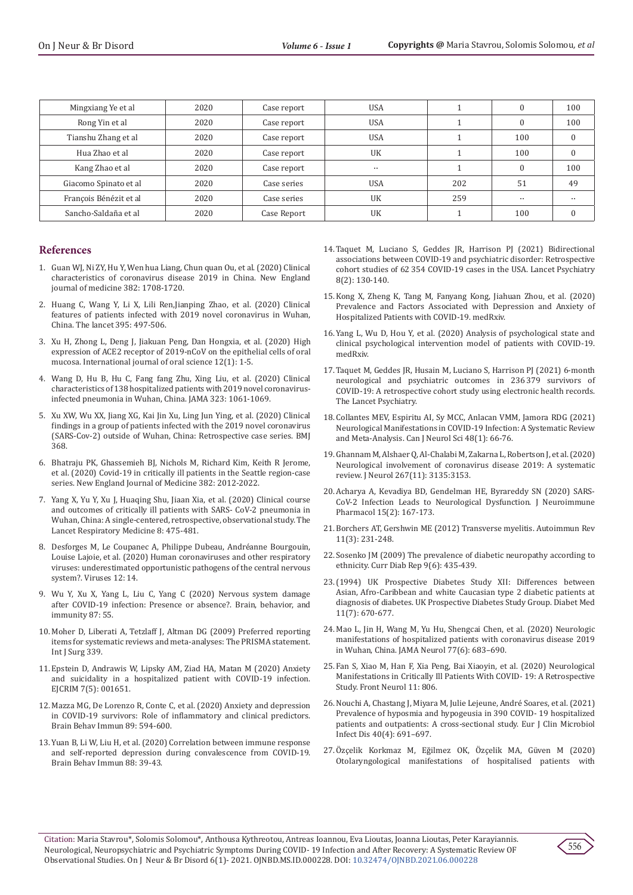| Mingxiang Ye et al     | 2020 | Case report | <b>USA</b> |     | 0         | 100 |
|------------------------|------|-------------|------------|-----|-----------|-----|
| Rong Yin et al         | 2020 | Case report | <b>USA</b> |     |           | 100 |
| Tianshu Zhang et al    | 2020 | Case report | <b>USA</b> |     | 100       |     |
| Hua Zhao et al         | 2020 | Case report | <b>UK</b>  |     | 100       |     |
| Kang Zhao et al        | 2020 | Case report | $\ddotsc$  |     | 0         | 100 |
| Giacomo Spinato et al  | 2020 | Case series | <b>USA</b> | 202 | 51        | 49  |
| François Bénézit et al | 2020 | Case series | <b>UK</b>  | 259 | $\ddotsc$ |     |
| Sancho-Saldaña et al   | 2020 | Case Report | UK         |     | 100       |     |

#### **References**

- 1. [Guan WJ, Ni ZY, Hu Y, Wen hua Liang, Chun quan Ou, et al. \(2020\) Clinical](https://www.nejm.org/doi/10.1056/nejmoa2002032) [characteristics of coronavirus disease 2019 in China. New England](https://www.nejm.org/doi/10.1056/nejmoa2002032) [journal of medicine 382: 1708-1720.](https://www.nejm.org/doi/10.1056/nejmoa2002032)
- 2. [Huang C, Wang Y, Li X, Lili Ren,Jianping Zhao, et al. \(2020\) Clinical](https://www.thelancet.com/journals/lancet/article/PIIS0140-6736(20)30183-5/fulltext) [features of patients infected with 2019 novel coronavirus in Wuhan,](https://www.thelancet.com/journals/lancet/article/PIIS0140-6736(20)30183-5/fulltext) [China. The lancet 395: 497-506.](https://www.thelancet.com/journals/lancet/article/PIIS0140-6736(20)30183-5/fulltext)
- 3. [Xu H, Zhong L, Deng J, Jiakuan Peng, Dan Hongxia, et al. \(2020\) High](https://www.researchgate.net/publication/339457049_High_expression_of_ACE2_receptor_of_2019-nCoV_on_the_epithelial_cells_of_oral_mucosa) [expression of ACE2 receptor of 2019-nCoV on the epithelial cells of oral](https://www.researchgate.net/publication/339457049_High_expression_of_ACE2_receptor_of_2019-nCoV_on_the_epithelial_cells_of_oral_mucosa) [mucosa. International journal of oral science 12\(1\): 1-5.](https://www.researchgate.net/publication/339457049_High_expression_of_ACE2_receptor_of_2019-nCoV_on_the_epithelial_cells_of_oral_mucosa)
- 4. [Wang D, Hu B, Hu C, Fang fang Zhu, Xing Liu, et al. \(2020\) Clinical](https://pubmed.ncbi.nlm.nih.gov/32031570/) [characteristics of 138 hospitalized patients with 2019 novel coronavirus](https://pubmed.ncbi.nlm.nih.gov/32031570/)[infected pneumonia in Wuhan, China. JAMA 323: 1061-1069.](https://pubmed.ncbi.nlm.nih.gov/32031570/)
- 5. [Xu XW, Wu XX, Jiang XG, Kai Jin Xu, Ling Jun Ying, et al. \(2020\) Clinical](https://www.bmj.com/content/368/bmj.m606) [findings in a group of patients infected with the 2019 novel coronavirus](https://www.bmj.com/content/368/bmj.m606) [\(SARS-Cov-2\) outside of Wuhan, China: Retrospective case series. BMJ](https://www.bmj.com/content/368/bmj.m606) [368.](https://www.bmj.com/content/368/bmj.m606)
- 6. [Bhatraju PK, Ghassemieh BJ, Nichols M, Richard Kim, Keith R Jerome,](https://pubmed.ncbi.nlm.nih.gov/32227758/) [et al. \(2020\) Covid-19 in critically ill patients in the Seattle region-case](https://pubmed.ncbi.nlm.nih.gov/32227758/) [series. New England Journal of Medicine 382: 2012-2022.](https://pubmed.ncbi.nlm.nih.gov/32227758/)
- 7. [Yang X, Yu Y, Xu J, Huaqing Shu, Jiaan Xia, et al. \(2020\) Clinical course](https://www.thelancet.com/lancet/article/S2213-2600(20)30079-5) [and outcomes of critically ill patients with SARS- CoV-2 pneumonia in](https://www.thelancet.com/lancet/article/S2213-2600(20)30079-5) [Wuhan, China: A single-centered, retrospective, observational study. The](https://www.thelancet.com/lancet/article/S2213-2600(20)30079-5) [Lancet Respiratory Medicine 8: 475-481.](https://www.thelancet.com/lancet/article/S2213-2600(20)30079-5)
- 8. [Desforges M, Le Coupanec A, Philippe Dubeau, Andréanne Bourgouin,](https://www.mdpi.com/1999-4915/12/1/14) [Louise Lajoie, et al. \(2020\) Human coronaviruses and other respiratory](https://www.mdpi.com/1999-4915/12/1/14) [viruses: underestimated opportunistic pathogens of the central nervous](https://www.mdpi.com/1999-4915/12/1/14) [system?. Viruses 12: 14.](https://www.mdpi.com/1999-4915/12/1/14)
- 9. [Wu Y, Xu X, Yang L, Liu C, Yang C \(2020\) Nervous system damage](https://pubmed.ncbi.nlm.nih.gov/32311495/) [after COVID-19 infection: Presence or absence?. Brain, behavior, and](https://pubmed.ncbi.nlm.nih.gov/32311495/) [immunity 87: 55.](https://pubmed.ncbi.nlm.nih.gov/32311495/)
- 10. [Moher D, Liberati A, Tetzlaff J, Altman DG \(2009\) Preferred reporting](https://www.bmj.com/content/339/bmj.b2535) [items for systematic reviews and meta-analyses: The PRISMA statement.](https://www.bmj.com/content/339/bmj.b2535) [Int J Surg 339.](https://www.bmj.com/content/339/bmj.b2535)
- 11. [Epstein D, Andrawis W, Lipsky AM, Ziad HA, Matan M \(2020\) Anxiety](https://pubmed.ncbi.nlm.nih.gov/32399450/) [and suicidality in a hospitalized patient with COVID-19 infection.](https://pubmed.ncbi.nlm.nih.gov/32399450/) [EJCRIM 7\(5\): 001651.](https://pubmed.ncbi.nlm.nih.gov/32399450/)
- 12. [Mazza MG, De Lorenzo R, Conte C, et al. \(2020\) Anxiety and depression](https://pubmed.ncbi.nlm.nih.gov/32738287/) [in COVID-19 survivors: Role of inflammatory and clinical predictors.](https://pubmed.ncbi.nlm.nih.gov/32738287/) [Brain Behav Immun 89: 594-600.](https://pubmed.ncbi.nlm.nih.gov/32738287/)
- 13. [Yuan B, Li W, Liu H, et al. \(2020\) Correlation between immune response](https://www.researchgate.net/publication/341629762_Correlation_between_immune_response_and_self-reported_depression_during_convalescence_from_COVID-19) [and self-reported depression during convalescence from COVID-19.](https://www.researchgate.net/publication/341629762_Correlation_between_immune_response_and_self-reported_depression_during_convalescence_from_COVID-19) [Brain Behav Immun 88: 39-43.](https://www.researchgate.net/publication/341629762_Correlation_between_immune_response_and_self-reported_depression_during_convalescence_from_COVID-19)
- 14. [Taquet M, Luciano S, Geddes JR, Harrison PJ \(2021\) Bidirectional](https://www.thelancet.com/journals/lanpsy/article/PIIS2215-0366(20)30462-4/fulltext)  [associations between COVID-19 and psychiatric disorder: Retrospective](https://www.thelancet.com/journals/lanpsy/article/PIIS2215-0366(20)30462-4/fulltext)  [cohort studies of 62 354 COVID-19 cases in the USA. Lancet Psychiatry](https://www.thelancet.com/journals/lanpsy/article/PIIS2215-0366(20)30462-4/fulltext)  [8\(2\): 130-140.](https://www.thelancet.com/journals/lanpsy/article/PIIS2215-0366(20)30462-4/fulltext)
- 15. [Kong X, Zheng K, Tang M, Fanyang Kong, Jiahuan Zhou, et al. \(2020\)](https://www.medrxiv.org/content/10.1101/2020.03.24.20043075v2)  [Prevalence and Factors Associated with Depression and Anxiety of](https://www.medrxiv.org/content/10.1101/2020.03.24.20043075v2)  [Hospitalized Patients with COVID-19. medRxiv.](https://www.medrxiv.org/content/10.1101/2020.03.24.20043075v2)
- 16. [Yang L, Wu D, Hou Y, et al. \(2020\) Analysis of psychological state and](https://www.medrxiv.org/content/10.1101/2020.03.22.20040899v1)  [clinical psychological intervention model of patients with COVID-19.](https://www.medrxiv.org/content/10.1101/2020.03.22.20040899v1)  [medRxiv.](https://www.medrxiv.org/content/10.1101/2020.03.22.20040899v1)
- 17. [Taquet M, Geddes JR, Husain M, Luciano S, Harrison PJ \(2021\) 6-month](https://www.thelancet.com/journals/lanpsy/article/PIIS2215-0366(21)00084-5/fulltext)  [neurological and psychiatric outcomes in 236 379 survivors of](https://www.thelancet.com/journals/lanpsy/article/PIIS2215-0366(21)00084-5/fulltext)  [COVID-19: A retrospective cohort study using electronic health records.](https://www.thelancet.com/journals/lanpsy/article/PIIS2215-0366(21)00084-5/fulltext)  [The Lancet Psychiatry.](https://www.thelancet.com/journals/lanpsy/article/PIIS2215-0366(21)00084-5/fulltext)
- 18. [Collantes MEV, Espiritu AI, Sy MCC, Anlacan VMM, Jamora RDG \(2021\)](https://pubmed.ncbi.nlm.nih.gov/32665054/)  [Neurological Manifestations in COVID-19 Infection: A Systematic Review](https://pubmed.ncbi.nlm.nih.gov/32665054/)  [and Meta-Analysis. Can J Neurol Sci 48\(1\): 66-76.](https://pubmed.ncbi.nlm.nih.gov/32665054/)
- 19. [Ghannam M, Alshaer Q, Al-Chalabi M, Zakarna L, Robertson J, et al. \(2020\)](https://pubmed.ncbi.nlm.nih.gov/32561990/)  [Neurological involvement of coronavirus disease 2019: A systematic](https://pubmed.ncbi.nlm.nih.gov/32561990/)  [review. J Neurol 267\(11\): 3135:3153.](https://pubmed.ncbi.nlm.nih.gov/32561990/)
- 20. [Acharya A, Kevadiya BD, Gendelman HE, Byrareddy SN \(2020\) SARS-](https://pubmed.ncbi.nlm.nih.gov/32447746/)[CoV-2 Infection Leads to Neurological Dysfunction. J Neuroimmune](https://pubmed.ncbi.nlm.nih.gov/32447746/)  [Pharmacol 15\(2\): 167-173.](https://pubmed.ncbi.nlm.nih.gov/32447746/)
- 21. [Borchers AT, Gershwin ME \(2012\) Transverse myelitis. Autoimmun Rev](https://pubmed.ncbi.nlm.nih.gov/21621005/)  [11\(3\): 231-248.](https://pubmed.ncbi.nlm.nih.gov/21621005/)
- 22. [Sosenko JM \(2009\) The prevalence of diabetic neuropathy according to](https://pubmed.ncbi.nlm.nih.gov/19954688/)  [ethnicity. Curr Diab Rep 9\(6\): 435-439.](https://pubmed.ncbi.nlm.nih.gov/19954688/)
- 23.[\(1994\) UK Prospective Diabetes Study XII: Differences between](https://pubmed.ncbi.nlm.nih.gov/7955993/)  [Asian, Afro-Caribbean and white Caucasian type 2 diabetic patients at](https://pubmed.ncbi.nlm.nih.gov/7955993/)  [diagnosis of diabetes. UK Prospective Diabetes Study Group. Diabet Med](https://pubmed.ncbi.nlm.nih.gov/7955993/)  [11\(7\): 670-677.](https://pubmed.ncbi.nlm.nih.gov/7955993/)
- 24. [Mao L, Jin H, Wang M, Yu Hu, Shengcai Chen, et al. \(2020\) Neurologic](https://pubmed.ncbi.nlm.nih.gov/32275288/)  [manifestations of hospitalized patients with coronavirus disease 2019](https://pubmed.ncbi.nlm.nih.gov/32275288/)  [in Wuhan, China. JAMA Neurol 77\(6\): 683–690.](https://pubmed.ncbi.nlm.nih.gov/32275288/)
- 25. [Fan S, Xiao M, Han F, Xia Peng, Bai Xiaoyin, et al. \(2020\) Neurological](https://search.bvsalud.org/global-literature-on-novel-coronavirus-2019-ncov/resource/en/covidwho-685937)  [Manifestations in Critically Ill Patients With COVID- 19: A Retrospective](https://search.bvsalud.org/global-literature-on-novel-coronavirus-2019-ncov/resource/en/covidwho-685937)  [Study. Front Neurol 11: 806.](https://search.bvsalud.org/global-literature-on-novel-coronavirus-2019-ncov/resource/en/covidwho-685937)
- 26. [Nouchi A, Chastang J, Miyara M, Julie Lejeune, André Soares, et al. \(2021\)](https://www.researchgate.net/publication/346057437_Prevalence_of_hyposmia_and_hypogeusia_in_390_COVID-19_hospitalized_patients_and_outpatients_a_cross-sectional_study) [Prevalence of hyposmia and hypogeusia in 390 COVID- 19 hospitalized](https://www.researchgate.net/publication/346057437_Prevalence_of_hyposmia_and_hypogeusia_in_390_COVID-19_hospitalized_patients_and_outpatients_a_cross-sectional_study)  [patients and outpatients: A cross-sectional study. Eur J Clin Microbiol](https://www.researchgate.net/publication/346057437_Prevalence_of_hyposmia_and_hypogeusia_in_390_COVID-19_hospitalized_patients_and_outpatients_a_cross-sectional_study)  [Infect Dis 40\(4\): 691–697.](https://www.researchgate.net/publication/346057437_Prevalence_of_hyposmia_and_hypogeusia_in_390_COVID-19_hospitalized_patients_and_outpatients_a_cross-sectional_study)
- 27. Özçelik Korkmaz M, Eğilmez OK, Özçelik MA, Güven M (2020) Otolaryngological manifestations of hospitalised patients with